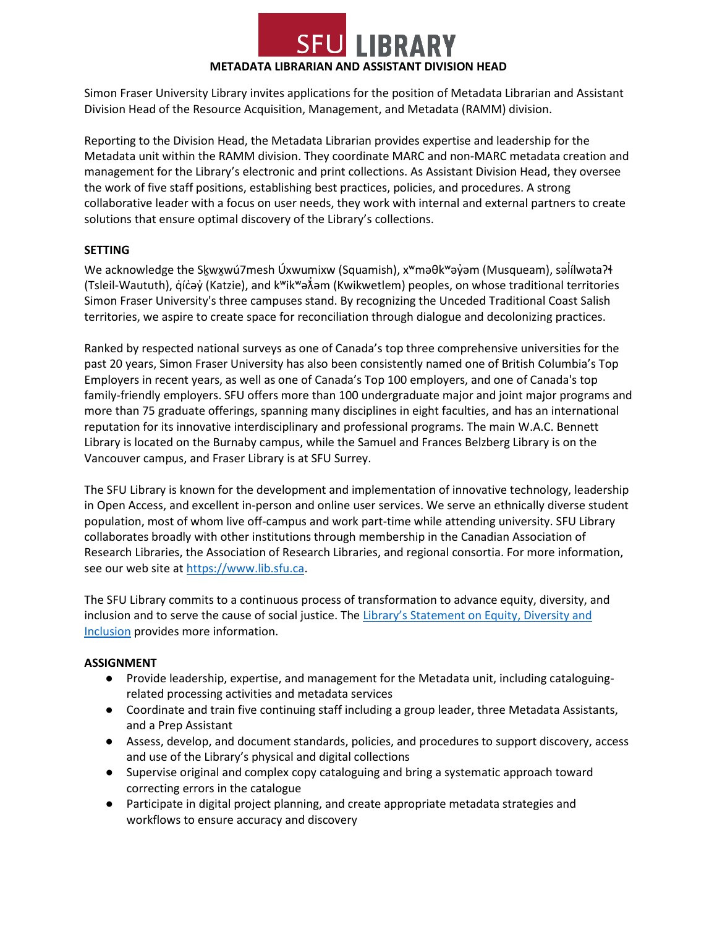

Simon Fraser University Library invites applications for the position of Metadata Librarian and Assistant Division Head of the Resource Acquisition, Management, and Metadata (RAMM) division.

Reporting to the Division Head, the Metadata Librarian provides expertise and leadership for the Metadata unit within the RAMM division. They coordinate MARC and non-MARC metadata creation and management for the Library's electronic and print collections. As Assistant Division Head, they oversee the work of five staff positions, establishing best practices, policies, and procedures. A strong collaborative leader with a focus on user needs, they work with internal and external partners to create solutions that ensure optimal discovery of the Library's collections.

## **SETTING**

We acknowledge the Skwxwú7mesh Úxwumixw (Squamish), x<sup>w</sup>maθk<sup>w</sup>ayam (Musqueam), səlilwataʔɬ (Tsleil-Waututh), q̓íc̓əy̓ (Katzie), and kʷikʷə $\vec{\lambda}$ əm (Kwikwetlem) peoples, on whose traditional territories Simon Fraser University's three campuses stand. By recognizing the Unceded Traditional Coast Salish territories, we aspire to create space for reconciliation through dialogue and decolonizing practices.

Ranked by respected national surveys as one of Canada's top three comprehensive universities for the past 20 years, Simon Fraser University has also been consistently named one of British Columbia's Top Employers in recent years, as well as one of Canada's Top 100 employers, and one of Canada's top family-friendly employers. SFU offers more than 100 undergraduate major and joint major programs and more than 75 graduate offerings, spanning many disciplines in eight faculties, and has an international reputation for its innovative interdisciplinary and professional programs. The main W.A.C. Bennett Library is located on the Burnaby campus, while the Samuel and Frances Belzberg Library is on the Vancouver campus, and Fraser Library is at SFU Surrey.

The SFU Library is known for the development and implementation of innovative technology, leadership in Open Access, and excellent in-person and online user services. We serve an ethnically diverse student population, most of whom live off-campus and work part-time while attending university. SFU Library collaborates broadly with other institutions through membership in the Canadian Association of Research Libraries, the Association of Research Libraries, and regional consortia. For more information, see our web site at [https://www.lib.sfu.ca.](https://www.lib.sfu.ca/)

The SFU Library commits to a continuous process of transformation to advance equity, diversity, and inclusion and to serve the cause of social justice. The Library's Statement on Equity, Diversity and [Inclusion](https://www.lib.sfu.ca/about/overview/policies/edi) provides more information.

## **ASSIGNMENT**

- Provide leadership, expertise, and management for the Metadata unit, including cataloguingrelated processing activities and metadata services
- Coordinate and train five continuing staff including a group leader, three Metadata Assistants, and a Prep Assistant
- Assess, develop, and document standards, policies, and procedures to support discovery, access and use of the Library's physical and digital collections
- Supervise original and complex copy cataloguing and bring a systematic approach toward correcting errors in the catalogue
- Participate in digital project planning, and create appropriate metadata strategies and workflows to ensure accuracy and discovery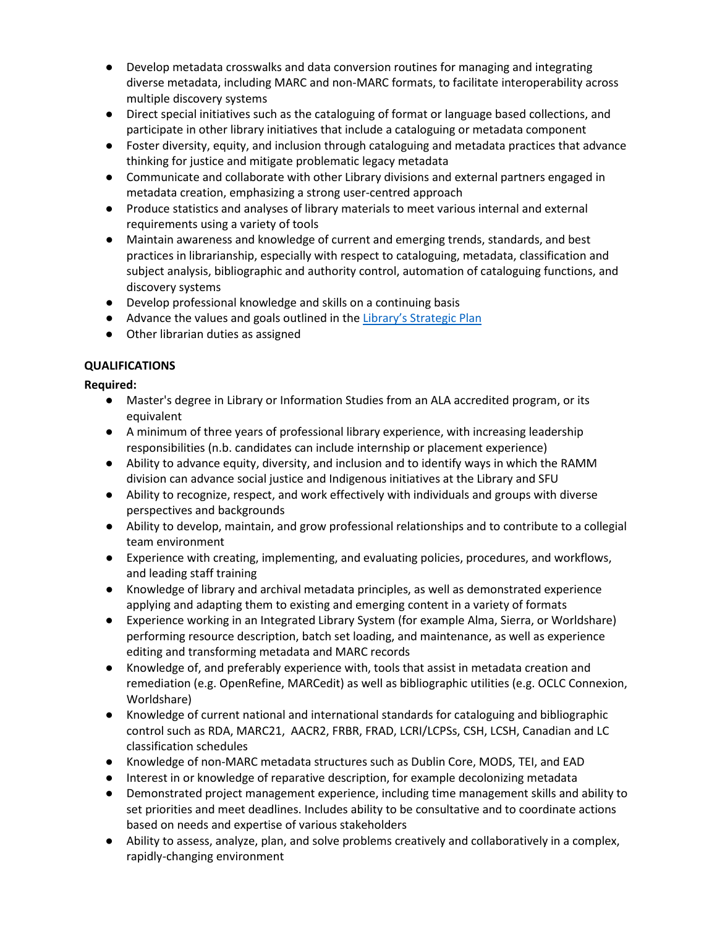- Develop metadata crosswalks and data conversion routines for managing and integrating diverse metadata, including MARC and non-MARC formats, to facilitate interoperability across multiple discovery systems
- Direct special initiatives such as the cataloguing of format or language based collections, and participate in other library initiatives that include a cataloguing or metadata component
- Foster diversity, equity, and inclusion through cataloguing and metadata practices that advance thinking for justice and mitigate problematic legacy metadata
- Communicate and collaborate with other Library divisions and external partners engaged in metadata creation, emphasizing a strong user-centred approach
- Produce statistics and analyses of library materials to meet various internal and external requirements using a variety of tools
- Maintain awareness and knowledge of current and emerging trends, standards, and best practices in librarianship, especially with respect to cataloguing, metadata, classification and subject analysis, bibliographic and authority control, automation of cataloguing functions, and discovery systems
- Develop professional knowledge and skills on a continuing basis
- Advance the values and goals outlined in the [Library's Strategic Plan](https://www.lib.sfu.ca/system/files/26348/strategic-plan-2017-2021-compressed.pdf)
- Other librarian duties as assigned

# **QUALIFICATIONS**

**Required:**

- Master's degree in Library or Information Studies from an ALA accredited program, or its equivalent
- A minimum of three years of professional library experience, with increasing leadership responsibilities (n.b. candidates can include internship or placement experience)
- Ability to advance equity, diversity, and inclusion and to identify ways in which the RAMM division can advance social justice and Indigenous initiatives at the Library and SFU
- Ability to recognize, respect, and work effectively with individuals and groups with diverse perspectives and backgrounds
- Ability to develop, maintain, and grow professional relationships and to contribute to a collegial team environment
- Experience with creating, implementing, and evaluating policies, procedures, and workflows, and leading staff training
- Knowledge of library and archival metadata principles, as well as demonstrated experience applying and adapting them to existing and emerging content in a variety of formats
- Experience working in an Integrated Library System (for example Alma, Sierra, or Worldshare) performing resource description, batch set loading, and maintenance, as well as experience editing and transforming metadata and MARC records
- Knowledge of, and preferably experience with, tools that assist in metadata creation and remediation (e.g. OpenRefine, MARCedit) as well as bibliographic utilities (e.g. OCLC Connexion, Worldshare)
- Knowledge of current national and international standards for cataloguing and bibliographic control such as RDA, MARC21, AACR2, FRBR, FRAD, LCRI/LCPSs, CSH, LCSH, Canadian and LC classification schedules
- Knowledge of non-MARC metadata structures such as Dublin Core, MODS, TEI, and EAD
- Interest in or knowledge of reparative description, for example decolonizing metadata
- Demonstrated project management experience, including time management skills and ability to set priorities and meet deadlines. Includes ability to be consultative and to coordinate actions based on needs and expertise of various stakeholders
- Ability to assess, analyze, plan, and solve problems creatively and collaboratively in a complex, rapidly-changing environment